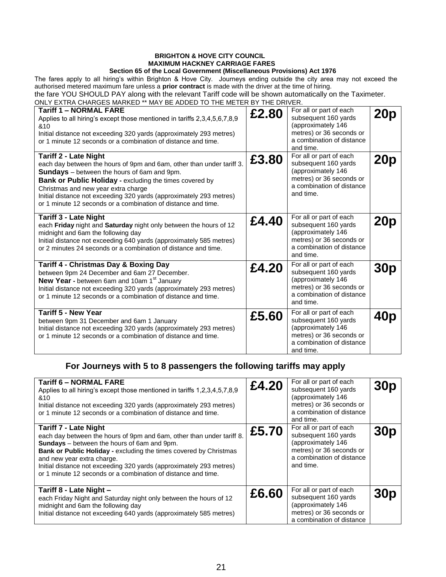## **BRIGHTON & HOVE CITY COUNCIL MAXIMUM HACKNEY CARRIAGE FARES**

## **Section 65 of the Local Government (Miscellaneous Provisions) Act 1976**

The fares apply to all hiring's within Brighton & Hove City. Journeys ending outside the city area may not exceed the authorised metered maximum fare unless a **prior contract** is made with the driver at the time of hiring.

the fare YOU SHOULD PAY along with the relevant Tariff code will be shown automatically on the Taximeter.

ONLY EXTRA CHARGES MARKED \*\* MAY BE ADDED TO THE METER BY THE DRIVER.

| <b>Tariff 1 - NORMAL FARE</b><br>Applies to all hiring's except those mentioned in tariffs 2,3,4,5,6,7,8,9<br>&10<br>Initial distance not exceeding 320 yards (approximately 293 metres)<br>or 1 minute 12 seconds or a combination of distance and time.                                                                                                                                             | £2.80 | For all or part of each<br>subsequent 160 yards<br>(approximately 146<br>metres) or 36 seconds or<br>a combination of distance<br>and time. | 20p |
|-------------------------------------------------------------------------------------------------------------------------------------------------------------------------------------------------------------------------------------------------------------------------------------------------------------------------------------------------------------------------------------------------------|-------|---------------------------------------------------------------------------------------------------------------------------------------------|-----|
| <b>Tariff 2 - Late Night</b><br>each day between the hours of 9pm and 6am, other than under tariff 3.<br><b>Sundays</b> – between the hours of 6am and 9pm.<br>Bank or Public Holiday - excluding the times covered by<br>Christmas and new year extra charge<br>Initial distance not exceeding 320 yards (approximately 293 metres)<br>or 1 minute 12 seconds or a combination of distance and time. | £3.80 | For all or part of each<br>subsequent 160 yards<br>(approximately 146<br>metres) or 36 seconds or<br>a combination of distance<br>and time. | 20p |
| <b>Tariff 3 - Late Night</b><br>each Friday night and Saturday night only between the hours of 12<br>midnight and 6am the following day<br>Initial distance not exceeding 640 yards (approximately 585 metres)<br>or 2 minutes 24 seconds or a combination of distance and time.                                                                                                                      | £4.40 | For all or part of each<br>subsequent 160 yards<br>(approximately 146<br>metres) or 36 seconds or<br>a combination of distance<br>and time. | 20p |
| <b>Tariff 4 - Christmas Day &amp; Boxing Day</b><br>between 9pm 24 December and 6am 27 December.<br>New Year - between 6am and 10am 1st January<br>Initial distance not exceeding 320 yards (approximately 293 metres)<br>or 1 minute 12 seconds or a combination of distance and time.                                                                                                               | £4.20 | For all or part of each<br>subsequent 160 yards<br>(approximately 146<br>metres) or 36 seconds or<br>a combination of distance<br>and time. | 30p |
| <b>Tariff 5 - New Year</b><br>between 9pm 31 December and 6am 1 January<br>Initial distance not exceeding 320 yards (approximately 293 metres)<br>or 1 minute 12 seconds or a combination of distance and time.                                                                                                                                                                                       | £5.60 | For all or part of each<br>subsequent 160 yards<br>(approximately 146<br>metres) or 36 seconds or<br>a combination of distance<br>and time. | 40p |

## **For Journeys with 5 to 8 passengers the following tariffs may apply**

| <b>Tariff 6 – NORMAL FARE</b><br>Applies to all hiring's except those mentioned in tariffs 1,2,3,4,5,7,8,9<br>&10<br>Initial distance not exceeding 320 yards (approximately 293 metres)<br>or 1 minute 12 seconds or a combination of distance and time.                                                                                                                                              | £4.20 | For all or part of each<br>subsequent 160 yards<br>(approximately 146<br>metres) or 36 seconds or<br>a combination of distance<br>and time. | 30 <sub>p</sub> |
|--------------------------------------------------------------------------------------------------------------------------------------------------------------------------------------------------------------------------------------------------------------------------------------------------------------------------------------------------------------------------------------------------------|-------|---------------------------------------------------------------------------------------------------------------------------------------------|-----------------|
| <b>Tariff 7 - Late Night</b><br>each day between the hours of 9pm and 6am, other than under tariff 8.<br><b>Sundays</b> – between the hours of 6am and 9pm.<br>Bank or Public Holiday - excluding the times covered by Christmas<br>and new year extra charge.<br>Initial distance not exceeding 320 yards (approximately 293 metres)<br>or 1 minute 12 seconds or a combination of distance and time. | £5.70 | For all or part of each<br>subsequent 160 yards<br>(approximately 146<br>metres) or 36 seconds or<br>a combination of distance<br>and time. | 30 <sub>p</sub> |
| Tariff 8 - Late Night -<br>each Friday Night and Saturday night only between the hours of 12<br>midnight and 6am the following day<br>Initial distance not exceeding 640 yards (approximately 585 metres)                                                                                                                                                                                              | £6.60 | For all or part of each<br>subsequent 160 yards<br>(approximately 146<br>metres) or 36 seconds or<br>a combination of distance              | <b>30p</b>      |